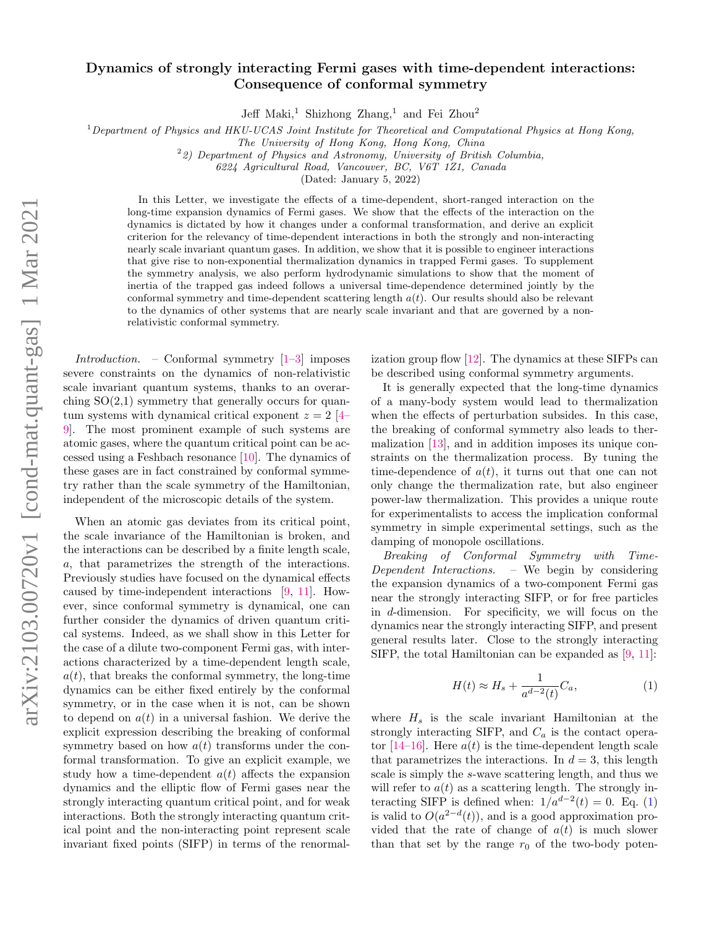## Dynamics of strongly interacting Fermi gases with time-dependent interactions: Consequence of conformal symmetry

Jeff Maki,<sup>1</sup> Shizhong Zhang,<sup>1</sup> and Fei Zhou<sup>2</sup>

<sup>1</sup>Department of Physics and HKU-UCAS Joint Institute for Theoretical and Computational Physics at Hong Kong,

The University of Hong Kong, Hong Kong, China

 $22$ ) Department of Physics and Astronomy, University of British Columbia,

6224 Agricultural Road, Vancouver, BC, V6T 1Z1, Canada

(Dated: January 5, 2022)

In this Letter, we investigate the effects of a time-dependent, short-ranged interaction on the long-time expansion dynamics of Fermi gases. We show that the effects of the interaction on the dynamics is dictated by how it changes under a conformal transformation, and derive an explicit criterion for the relevancy of time-dependent interactions in both the strongly and non-interacting nearly scale invariant quantum gases. In addition, we show that it is possible to engineer interactions that give rise to non-exponential thermalization dynamics in trapped Fermi gases. To supplement the symmetry analysis, we also perform hydrodynamic simulations to show that the moment of inertia of the trapped gas indeed follows a universal time-dependence determined jointly by the conformal symmetry and time-dependent scattering length  $a(t)$ . Our results should also be relevant to the dynamics of other systems that are nearly scale invariant and that are governed by a nonrelativistic conformal symmetry.

*Introduction.* – Conformal symmetry  $[1-3]$  $[1-3]$  imposes severe constraints on the dynamics of non-relativistic scale invariant quantum systems, thanks to an overarching  $SO(2,1)$  symmetry that generally occurs for quantum systems with dynamical critical exponent  $z = 2$  [\[4–](#page-5-2) [9\]](#page-5-3). The most prominent example of such systems are atomic gases, where the quantum critical point can be accessed using a Feshbach resonance [\[10\]](#page-5-4). The dynamics of these gases are in fact constrained by conformal symmetry rather than the scale symmetry of the Hamiltonian, independent of the microscopic details of the system.

When an atomic gas deviates from its critical point, the scale invariance of the Hamiltonian is broken, and the interactions can be described by a finite length scale, a, that parametrizes the strength of the interactions. Previously studies have focused on the dynamical effects caused by time-independent interactions [\[9,](#page-5-3) [11\]](#page-5-5). However, since conformal symmetry is dynamical, one can further consider the dynamics of driven quantum critical systems. Indeed, as we shall show in this Letter for the case of a dilute two-component Fermi gas, with interactions characterized by a time-dependent length scale,  $a(t)$ , that breaks the conformal symmetry, the long-time dynamics can be either fixed entirely by the conformal symmetry, or in the case when it is not, can be shown to depend on  $a(t)$  in a universal fashion. We derive the explicit expression describing the breaking of conformal symmetry based on how  $a(t)$  transforms under the conformal transformation. To give an explicit example, we study how a time-dependent  $a(t)$  affects the expansion dynamics and the elliptic flow of Fermi gases near the strongly interacting quantum critical point, and for weak interactions. Both the strongly interacting quantum critical point and the non-interacting point represent scale invariant fixed points (SIFP) in terms of the renormalization group flow  $[12]$ . The dynamics at these SIFPs can be described using conformal symmetry arguments.

It is generally expected that the long-time dynamics of a many-body system would lead to thermalization when the effects of perturbation subsides. In this case, the breaking of conformal symmetry also leads to thermalization [\[13\]](#page-5-7), and in addition imposes its unique constraints on the thermalization process. By tuning the time-dependence of  $a(t)$ , it turns out that one can not only change the thermalization rate, but also engineer power-law thermalization. This provides a unique route for experimentalists to access the implication conformal symmetry in simple experimental settings, such as the damping of monopole oscillations.

Breaking of Conformal Symmetry with Time-Dependent Interactions. – We begin by considering the expansion dynamics of a two-component Fermi gas near the strongly interacting SIFP, or for free particles in d-dimension. For specificity, we will focus on the dynamics near the strongly interacting SIFP, and present general results later. Close to the strongly interacting SIFP, the total Hamiltonian can be expanded as [\[9,](#page-5-3) [11\]](#page-5-5):

<span id="page-0-0"></span>
$$
H(t) \approx H_s + \frac{1}{a^{d-2}(t)} C_a,\tag{1}
$$

where  $H_s$  is the scale invariant Hamiltonian at the strongly interacting SIFP, and  $C_a$  is the contact operator  $[14-16]$  $[14-16]$ . Here  $a(t)$  is the time-dependent length scale that parametrizes the interactions. In  $d = 3$ , this length scale is simply the s-wave scattering length, and thus we will refer to  $a(t)$  as a scattering length. The strongly interacting SIFP is defined when:  $1/a^{d-2}(t) = 0$ . Eq. [\(1\)](#page-0-0) is valid to  $O(a^{2-d}(t))$ , and is a good approximation provided that the rate of change of  $a(t)$  is much slower than that set by the range  $r_0$  of the two-body poten-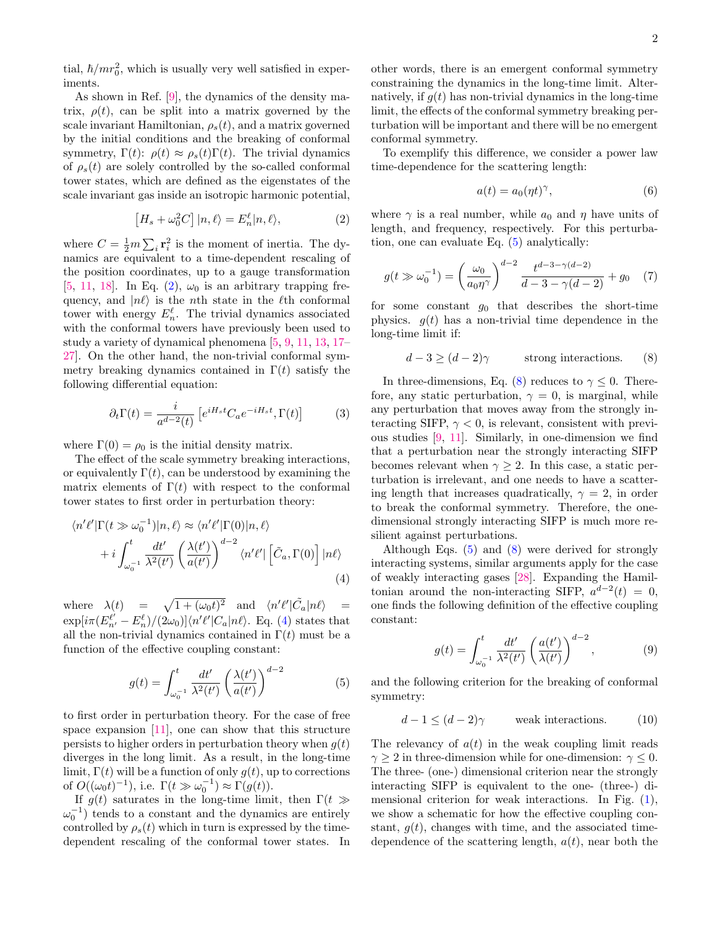tial,  $\hbar/mr_0^2$ , which is usually very well satisfied in experiments.

As shown in Ref. [\[9\]](#page-5-3), the dynamics of the density matrix,  $\rho(t)$ , can be split into a matrix governed by the scale invariant Hamiltonian,  $\rho_s(t)$ , and a matrix governed by the initial conditions and the breaking of conformal symmetry,  $\Gamma(t)$ :  $\rho(t) \approx \rho_s(t)\Gamma(t)$ . The trivial dynamics of  $\rho_s(t)$  are solely controlled by the so-called conformal tower states, which are defined as the eigenstates of the scale invariant gas inside an isotropic harmonic potential,

<span id="page-1-0"></span>
$$
\left[H_s + \omega_0^2 C\right]|n,\ell\rangle = E_n^{\ell}|n,\ell\rangle,\tag{2}
$$

where  $C = \frac{1}{2}m \sum_i \mathbf{r}_i^2$  is the moment of inertia. The dynamics are equivalent to a time-dependent rescaling of the position coordinates, up to a gauge transformation [\[5,](#page-5-10) [11,](#page-5-5) [18\]](#page-5-11). In Eq. [\(2\)](#page-1-0),  $\omega_0$  is an arbitrary trapping frequency, and  $|n\ell\rangle$  is the nth state in the  $\ell$ th conformal tower with energy  $E_n^{\ell}$ . The trivial dynamics associated with the conformal towers have previously been used to study a variety of dynamical phenomena [\[5,](#page-5-10) [9,](#page-5-3) [11,](#page-5-5) [13,](#page-5-7) [17–](#page-5-12) [27\]](#page-5-13). On the other hand, the non-trivial conformal symmetry breaking dynamics contained in  $\Gamma(t)$  satisfy the following differential equation:

$$
\partial_t \Gamma(t) = \frac{i}{a^{d-2}(t)} \left[ e^{iH_s t} C_a e^{-iH_s t}, \Gamma(t) \right]
$$
(3)

where  $\Gamma(0) = \rho_0$  is the initial density matrix.

The effect of the scale symmetry breaking interactions, or equivalently  $\Gamma(t)$ , can be understood by examining the matrix elements of  $\Gamma(t)$  with respect to the conformal tower states to first order in perturbation theory:

$$
\langle n'\ell'|\Gamma(t \gg \omega_0^{-1})|n,\ell\rangle \approx \langle n'\ell'|\Gamma(0)|n,\ell\rangle
$$
  
+ 
$$
i \int_{\omega_0^{-1}}^t \frac{dt'}{\lambda^2(t')} \left(\frac{\lambda(t')}{a(t')}\right)^{d-2} \langle n'\ell'|\left[\tilde{C}_a,\Gamma(0)\right]|n\ell\rangle
$$
  
(4)

where  $\lambda(t) = \sqrt{1 + (\omega_0 t)^2}$  and  $\langle n' \ell' | \tilde{C}_a | n \ell \rangle =$  $\exp[i\pi(E_{n'}^{\ell'} - E_n^{\ell})/(2\omega_0)]\langle n'\ell'|C_a|n\ell\rangle$ . Eq. [\(4\)](#page-1-1) states that all the non-trivial dynamics contained in  $\Gamma(t)$  must be a function of the effective coupling constant:

<span id="page-1-2"></span>
$$
g(t) = \int_{\omega_0^{-1}}^t \frac{dt'}{\lambda^2(t')} \left(\frac{\lambda(t')}{a(t')}\right)^{d-2} \tag{5}
$$

to first order in perturbation theory. For the case of free space expansion  $[11]$ , one can show that this structure persists to higher orders in perturbation theory when  $g(t)$ diverges in the long limit. As a result, in the long-time limit,  $\Gamma(t)$  will be a function of only  $g(t)$ , up to corrections of  $O((\omega_0 t)^{-1})$ , i.e.  $\Gamma(t \gg \omega_0^{-1}) \approx \Gamma(g(t))$ .

If  $g(t)$  saturates in the long-time limit, then  $\Gamma(t \gg$  $\omega_0^{-1}$ ) tends to a constant and the dynamics are entirely controlled by  $\rho_s(t)$  which in turn is expressed by the timedependent rescaling of the conformal tower states. In other words, there is an emergent conformal symmetry constraining the dynamics in the long-time limit. Alternatively, if  $g(t)$  has non-trivial dynamics in the long-time limit, the effects of the conformal symmetry breaking perturbation will be important and there will be no emergent conformal symmetry.

To exemplify this difference, we consider a power law time-dependence for the scattering length:

<span id="page-1-6"></span><span id="page-1-3"></span>
$$
a(t) = a_0(\eta t)^\gamma, \tag{6}
$$

where  $\gamma$  is a real number, while  $a_0$  and  $\eta$  have units of length, and frequency, respectively. For this perturbation, one can evaluate Eq. [\(5\)](#page-1-2) analytically:

$$
g(t \gg \omega_0^{-1}) = \left(\frac{\omega_0}{a_0 \eta^{\gamma}}\right)^{d-2} \frac{t^{d-3-\gamma(d-2)}}{d-3-\gamma(d-2)} + g_0 \quad (7)
$$

for some constant  $q_0$  that describes the short-time physics.  $g(t)$  has a non-trivial time dependence in the long-time limit if:

$$
d - 3 \ge (d - 2)\gamma \qquad \text{strong interactions.} \qquad (8)
$$

In three-dimensions, Eq. [\(8\)](#page-1-3) reduces to  $\gamma \leq 0$ . Therefore, any static perturbation,  $\gamma = 0$ , is marginal, while any perturbation that moves away from the strongly interacting SIFP,  $\gamma < 0$ , is relevant, consistent with previous studies [\[9,](#page-5-3) [11\]](#page-5-5). Similarly, in one-dimension we find that a perturbation near the strongly interacting SIFP becomes relevant when  $\gamma \geq 2$ . In this case, a static perturbation is irrelevant, and one needs to have a scattering length that increases quadratically,  $\gamma = 2$ , in order to break the conformal symmetry. Therefore, the onedimensional strongly interacting SIFP is much more resilient against perturbations.

<span id="page-1-1"></span>Although Eqs. [\(5\)](#page-1-2) and [\(8\)](#page-1-3) were derived for strongly interacting systems, similar arguments apply for the case of weakly interacting gases [\[28\]](#page-5-14). Expanding the Hamiltonian around the non-interacting SIFP,  $a^{d-2}(t) = 0$ , one finds the following definition of the effective coupling constant:

<span id="page-1-5"></span><span id="page-1-4"></span>
$$
g(t) = \int_{\omega_0^{-1}}^t \frac{dt'}{\lambda^2(t')} \left(\frac{a(t')}{\lambda(t')}\right)^{d-2},
$$
 (9)

and the following criterion for the breaking of conformal symmetry:

$$
d - 1 \le (d - 2)\gamma \qquad \text{weak interactions.} \tag{10}
$$

The relevancy of  $a(t)$  in the weak coupling limit reads  $\gamma \geq 2$  in three-dimension while for one-dimension:  $\gamma \leq 0$ . The three- (one-) dimensional criterion near the strongly interacting SIFP is equivalent to the one- (three-) dimensional criterion for weak interactions. In Fig. [\(1\)](#page-2-0), we show a schematic for how the effective coupling constant,  $q(t)$ , changes with time, and the associated timedependence of the scattering length,  $a(t)$ , near both the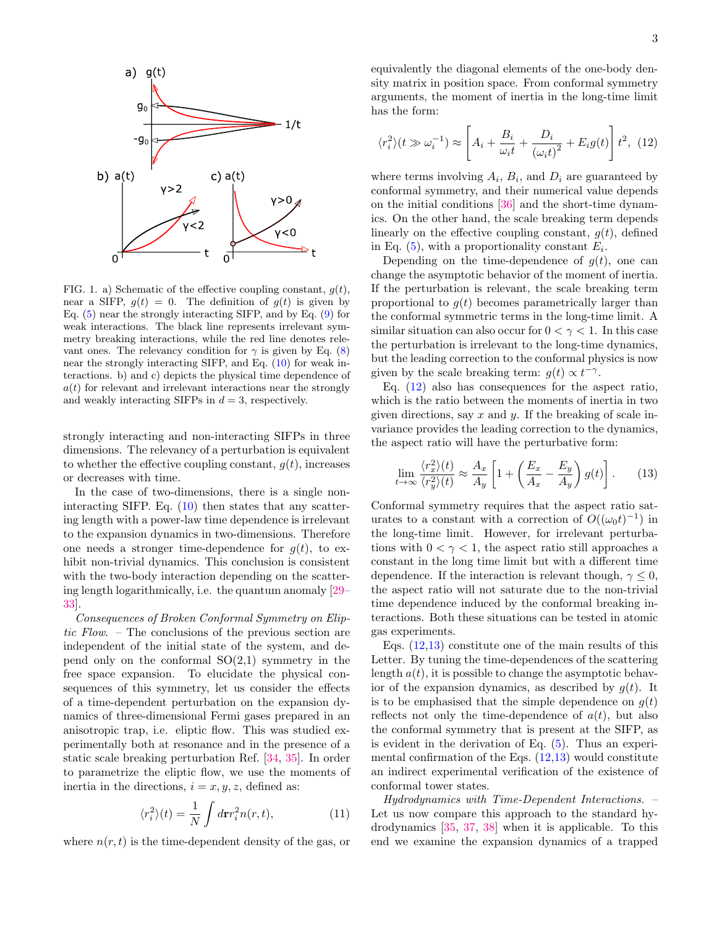

<span id="page-2-0"></span>FIG. 1. a) Schematic of the effective coupling constant,  $g(t)$ , near a SIFP,  $g(t) = 0$ . The definition of  $g(t)$  is given by Eq. [\(5\)](#page-1-2) near the strongly interacting SIFP, and by Eq. [\(9\)](#page-1-4) for weak interactions. The black line represents irrelevant symmetry breaking interactions, while the red line denotes relevant ones. The relevancy condition for  $\gamma$  is given by Eq. [\(8\)](#page-1-3) near the strongly interacting SIFP, and Eq. [\(10\)](#page-1-5) for weak interactions. b) and c) depicts the physical time dependence of  $a(t)$  for relevant and irrelevant interactions near the strongly and weakly interacting SIFPs in  $d = 3$ , respectively.

strongly interacting and non-interacting SIFPs in three dimensions. The relevancy of a perturbation is equivalent to whether the effective coupling constant,  $g(t)$ , increases or decreases with time.

In the case of two-dimensions, there is a single noninteracting SIFP. Eq.  $(10)$  then states that any scattering length with a power-law time dependence is irrelevant to the expansion dynamics in two-dimensions. Therefore one needs a stronger time-dependence for  $q(t)$ , to exhibit non-trivial dynamics. This conclusion is consistent with the two-body interaction depending on the scattering length logarithmically, i.e. the quantum anomaly [\[29–](#page-5-15) [33\]](#page-5-16).

Consequences of Broken Conformal Symmetry on Eliptic Flow. – The conclusions of the previous section are independent of the initial state of the system, and depend only on the conformal  $SO(2,1)$  symmetry in the free space expansion. To elucidate the physical consequences of this symmetry, let us consider the effects of a time-dependent perturbation on the expansion dynamics of three-dimensional Fermi gases prepared in an anisotropic trap, i.e. eliptic flow. This was studied experimentally both at resonance and in the presence of a static scale breaking perturbation Ref. [\[34,](#page-5-17) [35\]](#page-5-18). In order to parametrize the eliptic flow, we use the moments of inertia in the directions,  $i = x, y, z$ , defined as:

$$
\langle r_i^2 \rangle(t) = \frac{1}{N} \int d\mathbf{r} r_i^2 n(r, t), \tag{11}
$$

where  $n(r, t)$  is the time-dependent density of the gas, or

equivalently the diagonal elements of the one-body density matrix in position space. From conformal symmetry arguments, the moment of inertia in the long-time limit has the form:

<span id="page-2-1"></span>
$$
\langle r_i^2 \rangle (t \gg \omega_i^{-1}) \approx \left[ A_i + \frac{B_i}{\omega_i t} + \frac{D_i}{\left(\omega_i t\right)^2} + E_i g(t) \right] t^2, \tag{12}
$$

where terms involving  $A_i$ ,  $B_i$ , and  $D_i$  are guaranteed by conformal symmetry, and their numerical value depends on the initial conditions [\[36\]](#page-5-19) and the short-time dynamics. On the other hand, the scale breaking term depends linearly on the effective coupling constant,  $g(t)$ , defined in Eq.  $(5)$ , with a proportionality constant  $E_i$ .

Depending on the time-dependence of  $g(t)$ , one can change the asymptotic behavior of the moment of inertia. If the perturbation is relevant, the scale breaking term proportional to  $g(t)$  becomes parametrically larger than the conformal symmetric terms in the long-time limit. A similar situation can also occur for  $0 < \gamma < 1$ . In this case the perturbation is irrelevant to the long-time dynamics, but the leading correction to the conformal physics is now given by the scale breaking term:  $g(t) \propto t^{-\gamma}$ .

Eq. [\(12\)](#page-2-1) also has consequences for the aspect ratio, which is the ratio between the moments of inertia in two given directions, say  $x$  and  $y$ . If the breaking of scale invariance provides the leading correction to the dynamics, the aspect ratio will have the perturbative form:

<span id="page-2-2"></span>
$$
\lim_{t \to \infty} \frac{\langle r_x^2 \rangle(t)}{\langle r_y^2 \rangle(t)} \approx \frac{A_x}{A_y} \left[ 1 + \left( \frac{E_x}{A_x} - \frac{E_y}{A_y} \right) g(t) \right]. \tag{13}
$$

Conformal symmetry requires that the aspect ratio saturates to a constant with a correction of  $O((\omega_0 t)^{-1})$  in the long-time limit. However, for irrelevant perturbations with  $0 < \gamma < 1$ , the aspect ratio still approaches a constant in the long time limit but with a different time dependence. If the interaction is relevant though,  $\gamma \leq 0$ , the aspect ratio will not saturate due to the non-trivial time dependence induced by the conformal breaking interactions. Both these situations can be tested in atomic gas experiments.

Eqs. [\(12,](#page-2-1)[13\)](#page-2-2) constitute one of the main results of this Letter. By tuning the time-dependences of the scattering length  $a(t)$ , it is possible to change the asymptotic behavior of the expansion dynamics, as described by  $g(t)$ . It is to be emphasised that the simple dependence on  $g(t)$ reflects not only the time-dependence of  $a(t)$ , but also the conformal symmetry that is present at the SIFP, as is evident in the derivation of Eq. [\(5\)](#page-1-2). Thus an experimental confirmation of the Eqs.  $(12.13)$  $(12.13)$  would constitute an indirect experimental verification of the existence of conformal tower states.

Hydrodynamics with Time-Dependent Interactions. – Let us now compare this approach to the standard hydrodynamics [\[35,](#page-5-18) [37,](#page-5-20) [38\]](#page-5-21) when it is applicable. To this end we examine the expansion dynamics of a trapped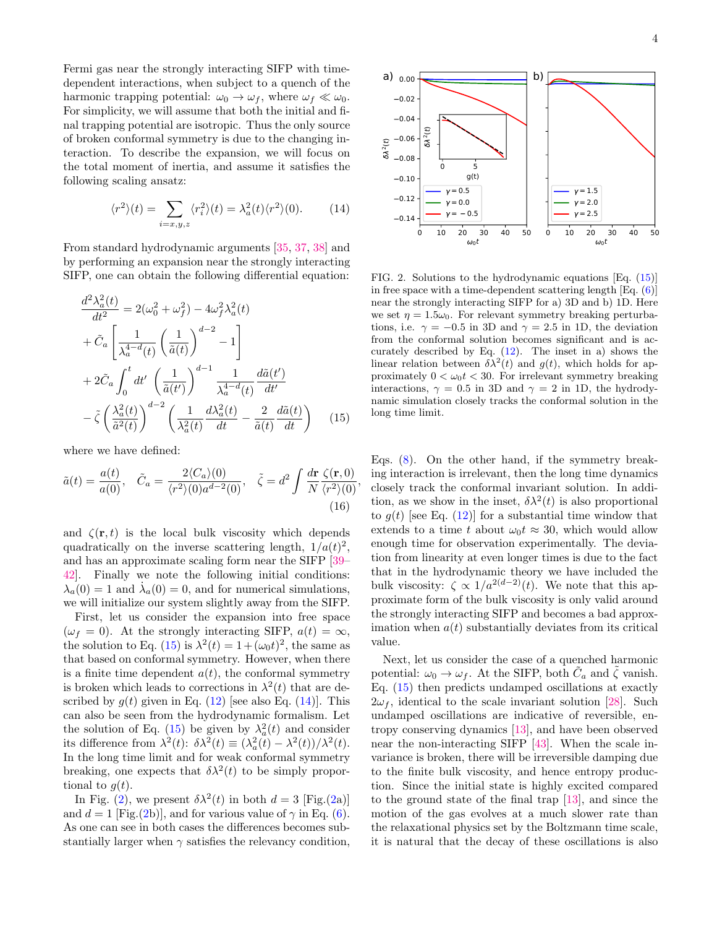Fermi gas near the strongly interacting SIFP with timedependent interactions, when subject to a quench of the harmonic trapping potential:  $\omega_0 \rightarrow \omega_f$ , where  $\omega_f \ll \omega_0$ . For simplicity, we will assume that both the initial and final trapping potential are isotropic. Thus the only source of broken conformal symmetry is due to the changing interaction. To describe the expansion, we will focus on the total moment of inertia, and assume it satisfies the following scaling ansatz:

<span id="page-3-1"></span>
$$
\langle r^2 \rangle(t) = \sum_{i=x,y,z} \langle r_i^2 \rangle(t) = \lambda_a^2(t) \langle r^2 \rangle(0). \tag{14}
$$

From standard hydrodynamic arguments [\[35,](#page-5-18) [37,](#page-5-20) [38\]](#page-5-21) and by performing an expansion near the strongly interacting SIFP, one can obtain the following differential equation:

$$
\frac{d^2\lambda_a^2(t)}{dt^2} = 2(\omega_0^2 + \omega_f^2) - 4\omega_f^2\lambda_a^2(t)
$$

$$
+ \tilde{C}_a \left[ \frac{1}{\lambda_a^{4-d}(t)} \left( \frac{1}{\tilde{a}(t)} \right)^{d-2} - 1 \right]
$$

$$
+ 2\tilde{C}_a \int_0^t dt' \left( \frac{1}{\tilde{a}(t')} \right)^{d-1} \frac{1}{\lambda_a^{4-d}(t)} \frac{d\tilde{a}(t')}{dt'}
$$

$$
- \tilde{\zeta} \left( \frac{\lambda_a^2(t)}{\tilde{a}^2(t)} \right)^{d-2} \left( \frac{1}{\lambda_a^2(t)} \frac{d\lambda_a^2(t)}{dt} - \frac{2}{\tilde{a}(t)} \frac{d\tilde{a}(t)}{dt} \right) \quad (15)
$$

where we have defined:

$$
\tilde{a}(t) = \frac{a(t)}{a(0)}, \quad \tilde{C}_a = \frac{2\langle C_a \rangle(0)}{\langle r^2 \rangle(0)a^{d-2}(0)}, \quad \tilde{\zeta} = d^2 \int \frac{d\mathbf{r}}{N} \frac{\zeta(\mathbf{r}, 0)}{\langle r^2 \rangle(0)},\tag{16}
$$

and  $\zeta(\mathbf{r},t)$  is the local bulk viscosity which depends quadratically on the inverse scattering length,  $1/a(t)^2$ , and has an approximate scaling form near the SIFP [\[39–](#page-5-22) [42\]](#page-5-23). Finally we note the following initial conditions:  $\lambda_a(0) = 1$  and  $\dot{\lambda}_a(0) = 0$ , and for numerical simulations, we will initialize our system slightly away from the SIFP.

First, let us consider the expansion into free space  $(\omega_f = 0)$ . At the strongly interacting SIFP,  $a(t) = \infty$ , the solution to Eq. [\(15\)](#page-3-0) is  $\lambda^2(t) = 1 + (\omega_0 t)^2$ , the same as that based on conformal symmetry. However, when there is a finite time dependent  $a(t)$ , the conformal symmetry is broken which leads to corrections in  $\lambda^2(t)$  that are described by  $g(t)$  given in Eq. [\(12\)](#page-2-1) [see also Eq. [\(14\)](#page-3-1)]. This can also be seen from the hydrodynamic formalism. Let the solution of Eq. [\(15\)](#page-3-0) be given by  $\lambda_a^2(t)$  and consider its difference from  $\lambda^2(t)$ :  $\delta\lambda^2(t) \equiv (\lambda_a^2(t) - \lambda^2(t))/\lambda^2(t)$ . In the long time limit and for weak conformal symmetry breaking, one expects that  $\delta \lambda^2(t)$  to be simply proportional to  $q(t)$ .

In Fig. [\(2\)](#page-3-2), we present  $\delta \lambda^2(t)$  in both  $d=3$  [Fig.[\(2a](#page-3-2))] and  $d = 1$  [Fig.[\(2b](#page-3-2))], and for various value of  $\gamma$  in Eq. [\(6\)](#page-1-6). As one can see in both cases the differences becomes substantially larger when  $\gamma$  satisfies the relevancy condition,



<span id="page-3-2"></span>FIG. 2. Solutions to the hydrodynamic equations [Eq. [\(15\)](#page-3-0)] in free space with a time-dependent scattering length [Eq. [\(6\)](#page-1-6)] near the strongly interacting SIFP for a) 3D and b) 1D. Here we set  $\eta = 1.5\omega_0$ . For relevant symmetry breaking perturbations, i.e.  $\gamma = -0.5$  in 3D and  $\gamma = 2.5$  in 1D, the deviation from the conformal solution becomes significant and is accurately described by Eq. [\(12\)](#page-2-1). The inset in a) shows the linear relation between  $\delta \lambda^2(t)$  and  $g(t)$ , which holds for approximately  $0 < \omega_0 t < 30$ . For irrelevant symmetry breaking interactions,  $\gamma = 0.5$  in 3D and  $\gamma = 2$  in 1D, the hydrodynamic simulation closely tracks the conformal solution in the long time limit.

<span id="page-3-0"></span>Eqs. [\(8\)](#page-1-3). On the other hand, if the symmetry breaking interaction is irrelevant, then the long time dynamics closely track the conformal invariant solution. In addition, as we show in the inset,  $\delta \lambda^2(t)$  is also proportional to  $g(t)$  [see Eq. [\(12\)](#page-2-1)] for a substantial time window that extends to a time t about  $\omega_0 t \approx 30$ , which would allow enough time for observation experimentally. The deviation from linearity at even longer times is due to the fact that in the hydrodynamic theory we have included the bulk viscosity:  $\zeta \propto 1/a^{2(d-2)}(t)$ . We note that this approximate form of the bulk viscosity is only valid around the strongly interacting SIFP and becomes a bad approximation when  $a(t)$  substantially deviates from its critical value.

Next, let us consider the case of a quenched harmonic potential:  $\omega_0 \to \omega_f$ . At the SIFP, both  $\tilde{C}_a$  and  $\tilde{\zeta}$  vanish. Eq. [\(15\)](#page-3-0) then predicts undamped oscillations at exactly  $2\omega_f$ , identical to the scale invariant solution [\[28\]](#page-5-14). Such undamped oscillations are indicative of reversible, entropy conserving dynamics [\[13\]](#page-5-7), and have been observed near the non-interacting SIFP [\[43\]](#page-5-24). When the scale invariance is broken, there will be irreversible damping due to the finite bulk viscosity, and hence entropy production. Since the initial state is highly excited compared to the ground state of the final trap [\[13\]](#page-5-7), and since the motion of the gas evolves at a much slower rate than the relaxational physics set by the Boltzmann time scale, it is natural that the decay of these oscillations is also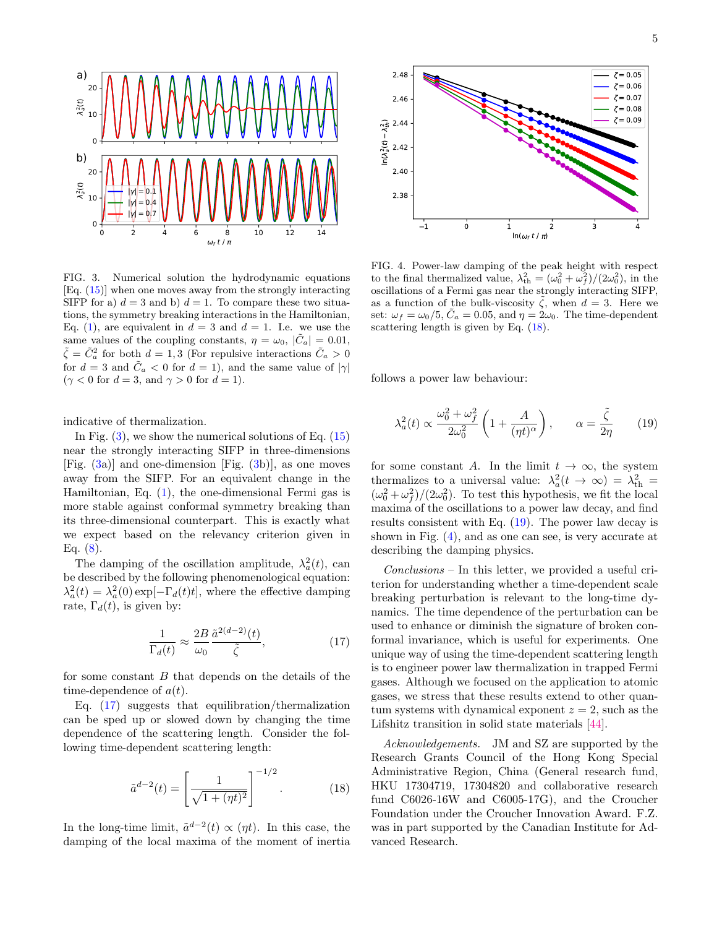

<span id="page-4-0"></span>FIG. 3. Numerical solution the hydrodynamic equations [Eq. [\(15\)](#page-3-0)] when one moves away from the strongly interacting SIFP for a)  $d = 3$  and b)  $d = 1$ . To compare these two situations, the symmetry breaking interactions in the Hamiltonian, Eq. [\(1\)](#page-0-0), are equivalent in  $d = 3$  and  $d = 1$ . I.e. we use the same values of the coupling constants,  $\eta = \omega_0$ ,  $|\tilde{C}_a| = 0.01$ ,  $\tilde{\zeta} = \tilde{C}_a^2$  for both  $d = 1, 3$  (For repulsive interactions  $\tilde{C}_a > 0$ for  $d = 3$  and  $\tilde{C}_a < 0$  for  $d = 1$ , and the same value of  $|\gamma|$  $(\gamma < 0$  for  $d = 3$ , and  $\gamma > 0$  for  $d = 1$ ).

indicative of thermalization.

In Fig.  $(3)$ , we show the numerical solutions of Eq.  $(15)$ near the strongly interacting SIFP in three-dimensions [Fig. [\(3a](#page-4-0))] and one-dimension [Fig. [\(3b](#page-4-0))], as one moves away from the SIFP. For an equivalent change in the Hamiltonian, Eq. [\(1\)](#page-0-0), the one-dimensional Fermi gas is more stable against conformal symmetry breaking than its three-dimensional counterpart. This is exactly what we expect based on the relevancy criterion given in Eq. [\(8\)](#page-1-3).

The damping of the oscillation amplitude,  $\lambda_a^2(t)$ , can be described by the following phenomenological equation:  $\lambda_a^2(t) = \lambda_a^2(0) \exp[-\Gamma_d(t)t]$ , where the effective damping rate,  $\Gamma_d(t)$ , is given by:

<span id="page-4-1"></span>
$$
\frac{1}{\Gamma_d(t)} \approx \frac{2B}{\omega_0} \frac{\tilde{a}^{2(d-2)}(t)}{\tilde{\zeta}},\tag{17}
$$

for some constant  $B$  that depends on the details of the time-dependence of  $a(t)$ .

Eq. [\(17\)](#page-4-1) suggests that equilibration/thermalization can be sped up or slowed down by changing the time dependence of the scattering length. Consider the following time-dependent scattering length:

<span id="page-4-2"></span>
$$
\tilde{a}^{d-2}(t) = \left[\frac{1}{\sqrt{1 + (\eta t)^2}}\right]^{-1/2}.
$$
 (18)

In the long-time limit,  $\tilde{a}^{d-2}(t) \propto (\eta t)$ . In this case, the damping of the local maxima of the moment of inertia



<span id="page-4-4"></span>FIG. 4. Power-law damping of the peak height with respect to the final thermalized value,  $\lambda_{\text{th}}^2 = (\omega_0^2 + \omega_f^2)/(2\omega_0^2)$ , in the oscillations of a Fermi gas near the strongly interacting SIFP, as a function of the bulk-viscosity  $\tilde{\zeta}$ , when  $d = 3$ . Here we set:  $\omega_f = \omega_0/5$ ,  $\tilde{C}_a = 0.05$ , and  $\eta = 2\omega_0$ . The time-dependent scattering length is given by Eq. [\(18\)](#page-4-2).

follows a power law behaviour:

<span id="page-4-3"></span>
$$
\lambda_a^2(t) \propto \frac{\omega_0^2 + \omega_f^2}{2\omega_0^2} \left( 1 + \frac{A}{(\eta t)^\alpha} \right), \qquad \alpha = \frac{\tilde{\zeta}}{2\eta} \qquad (19)
$$

for some constant A. In the limit  $t \to \infty$ , the system thermalizes to a universal value:  $\lambda_a^2(t \to \infty) = \lambda_{\text{th}}^2$  $(\omega_0^2 + \omega_f^2)/(2\omega_0^2)$ . To test this hypothesis, we fit the local maxima of the oscillations to a power law decay, and find results consistent with Eq. [\(19\)](#page-4-3). The power law decay is shown in Fig. [\(4\)](#page-4-4), and as one can see, is very accurate at describing the damping physics.

Conclusions – In this letter, we provided a useful criterion for understanding whether a time-dependent scale breaking perturbation is relevant to the long-time dynamics. The time dependence of the perturbation can be used to enhance or diminish the signature of broken conformal invariance, which is useful for experiments. One unique way of using the time-dependent scattering length is to engineer power law thermalization in trapped Fermi gases. Although we focused on the application to atomic gases, we stress that these results extend to other quantum systems with dynamical exponent  $z = 2$ , such as the Lifshitz transition in solid state materials [\[44\]](#page-5-25).

Acknowledgements. JM and SZ are supported by the Research Grants Council of the Hong Kong Special Administrative Region, China (General research fund, HKU 17304719, 17304820 and collaborative research fund C6026-16W and C6005-17G), and the Croucher Foundation under the Croucher Innovation Award. F.Z. was in part supported by the Canadian Institute for Advanced Research.